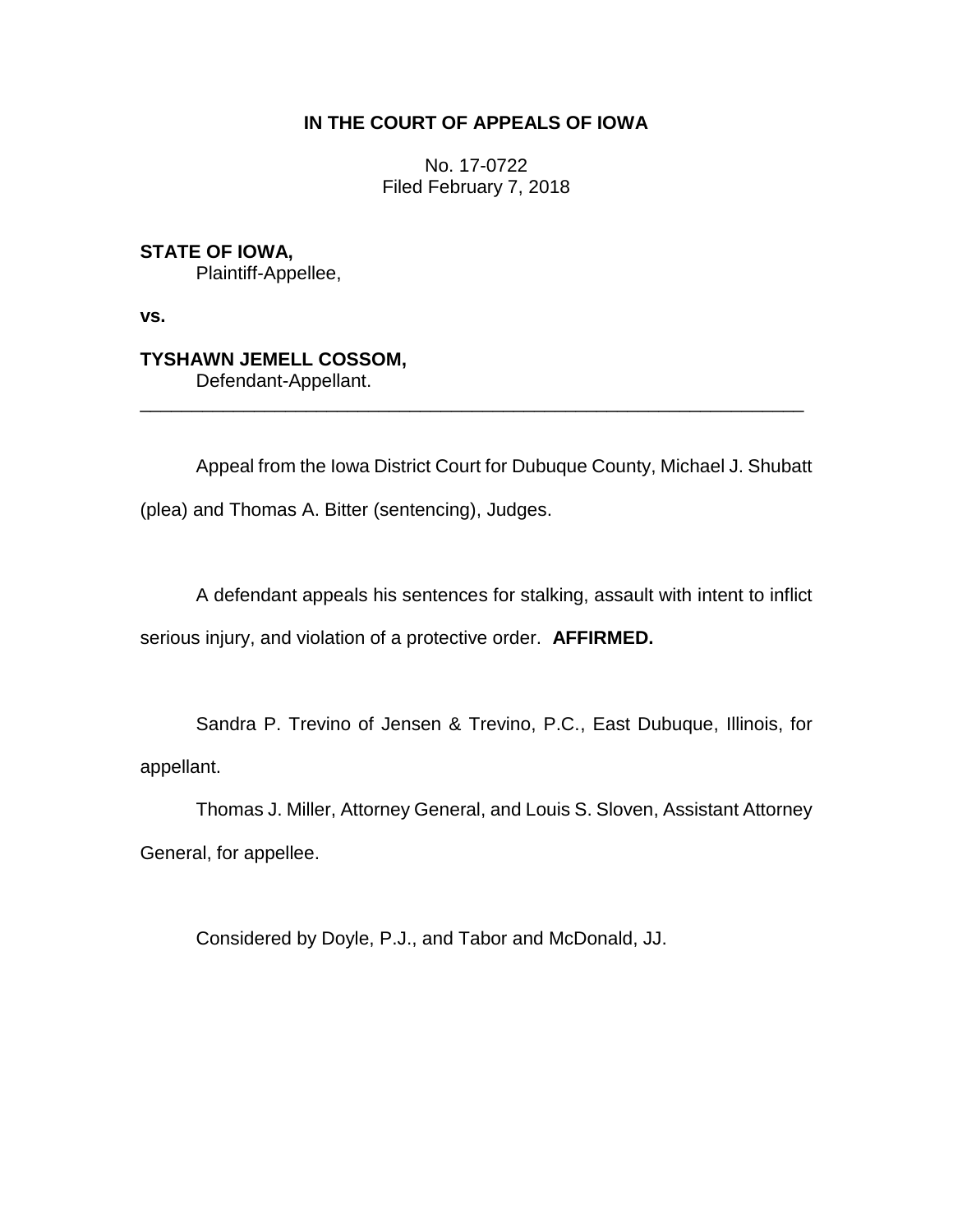## **IN THE COURT OF APPEALS OF IOWA**

No. 17-0722 Filed February 7, 2018

**STATE OF IOWA,** Plaintiff-Appellee,

**vs.**

## **TYSHAWN JEMELL COSSOM,**

Defendant-Appellant.

Appeal from the Iowa District Court for Dubuque County, Michael J. Shubatt (plea) and Thomas A. Bitter (sentencing), Judges.

\_\_\_\_\_\_\_\_\_\_\_\_\_\_\_\_\_\_\_\_\_\_\_\_\_\_\_\_\_\_\_\_\_\_\_\_\_\_\_\_\_\_\_\_\_\_\_\_\_\_\_\_\_\_\_\_\_\_\_\_\_\_\_\_

A defendant appeals his sentences for stalking, assault with intent to inflict serious injury, and violation of a protective order. **AFFIRMED.**

Sandra P. Trevino of Jensen & Trevino, P.C., East Dubuque, Illinois, for appellant.

Thomas J. Miller, Attorney General, and Louis S. Sloven, Assistant Attorney General, for appellee.

Considered by Doyle, P.J., and Tabor and McDonald, JJ.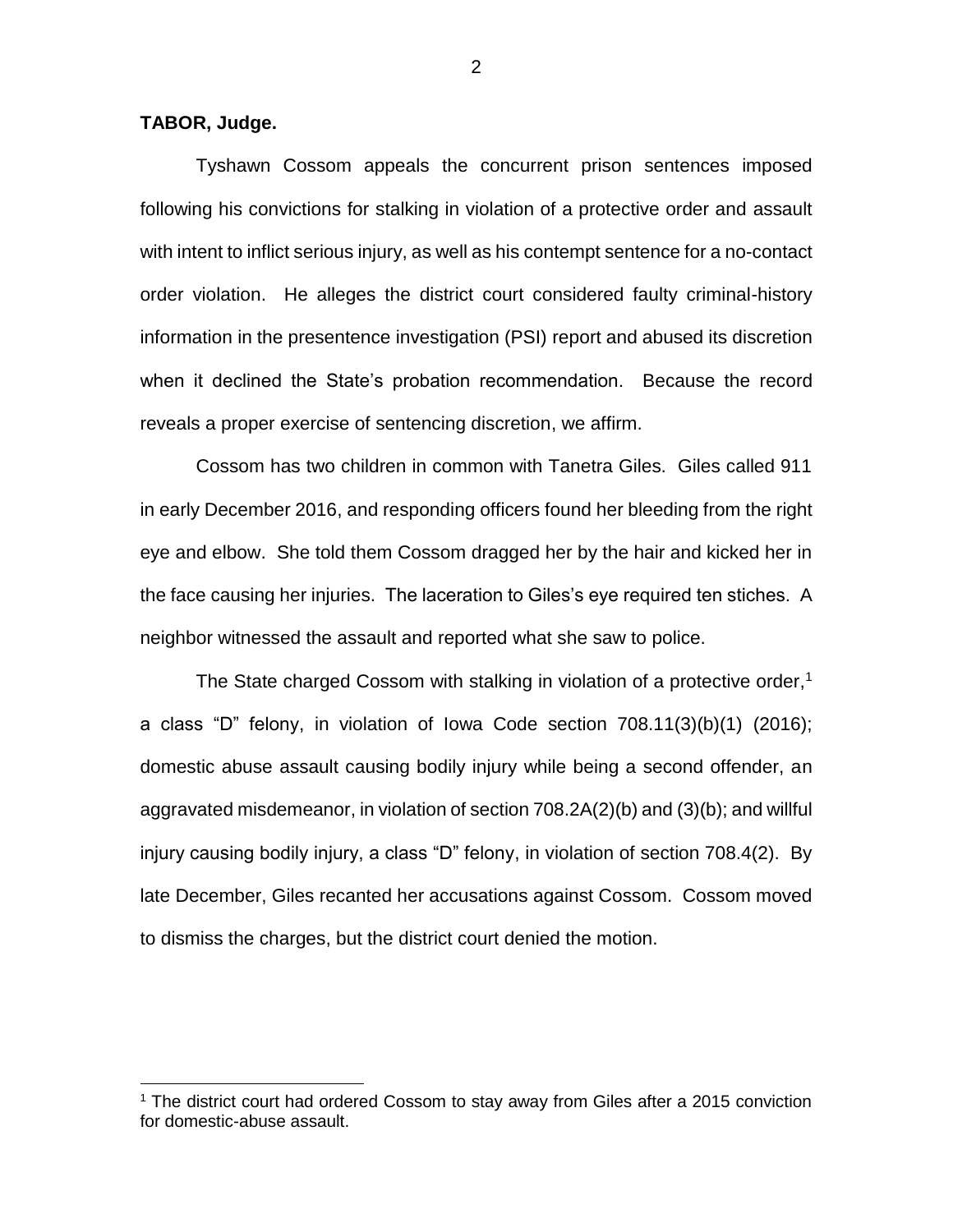## **TABOR, Judge.**

 $\overline{a}$ 

Tyshawn Cossom appeals the concurrent prison sentences imposed following his convictions for stalking in violation of a protective order and assault with intent to inflict serious injury, as well as his contempt sentence for a no-contact order violation. He alleges the district court considered faulty criminal-history information in the presentence investigation (PSI) report and abused its discretion when it declined the State's probation recommendation. Because the record reveals a proper exercise of sentencing discretion, we affirm.

Cossom has two children in common with Tanetra Giles. Giles called 911 in early December 2016, and responding officers found her bleeding from the right eye and elbow. She told them Cossom dragged her by the hair and kicked her in the face causing her injuries. The laceration to Giles's eye required ten stiches. A neighbor witnessed the assault and reported what she saw to police.

The State charged Cossom with stalking in violation of a protective order,<sup>1</sup> a class "D" felony, in violation of Iowa Code section 708.11(3)(b)(1) (2016); domestic abuse assault causing bodily injury while being a second offender, an aggravated misdemeanor, in violation of section 708.2A(2)(b) and (3)(b); and willful injury causing bodily injury, a class "D" felony, in violation of section 708.4(2). By late December, Giles recanted her accusations against Cossom. Cossom moved to dismiss the charges, but the district court denied the motion.

<sup>1</sup> The district court had ordered Cossom to stay away from Giles after a 2015 conviction for domestic-abuse assault.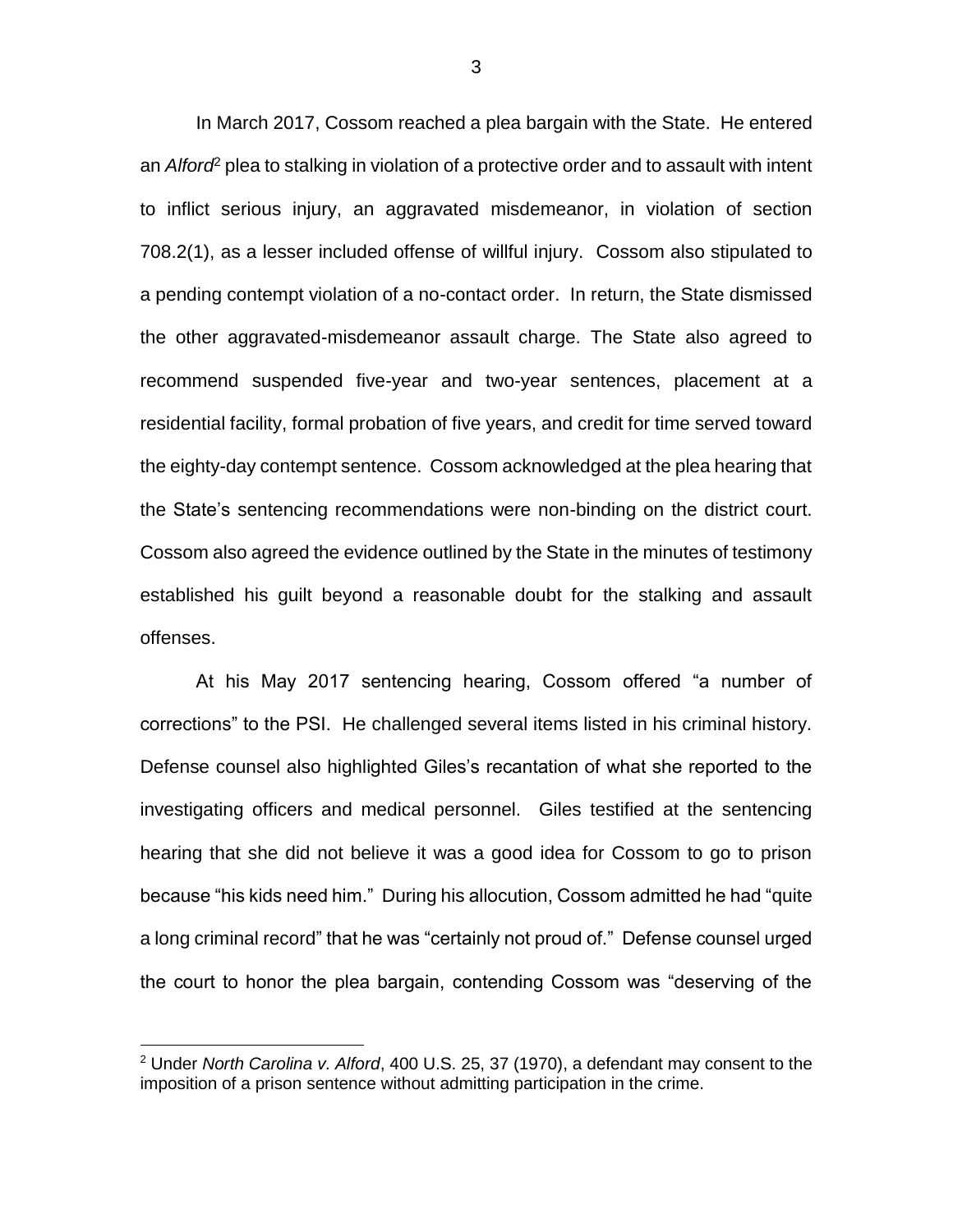In March 2017, Cossom reached a plea bargain with the State. He entered an *Alford*<sup>2</sup> plea to stalking in violation of a protective order and to assault with intent to inflict serious injury, an aggravated misdemeanor, in violation of section 708.2(1), as a lesser included offense of willful injury. Cossom also stipulated to a pending contempt violation of a no-contact order. In return, the State dismissed the other aggravated-misdemeanor assault charge. The State also agreed to recommend suspended five-year and two-year sentences, placement at a residential facility, formal probation of five years, and credit for time served toward the eighty-day contempt sentence. Cossom acknowledged at the plea hearing that the State's sentencing recommendations were non-binding on the district court. Cossom also agreed the evidence outlined by the State in the minutes of testimony established his guilt beyond a reasonable doubt for the stalking and assault offenses.

At his May 2017 sentencing hearing, Cossom offered "a number of corrections" to the PSI. He challenged several items listed in his criminal history. Defense counsel also highlighted Giles's recantation of what she reported to the investigating officers and medical personnel. Giles testified at the sentencing hearing that she did not believe it was a good idea for Cossom to go to prison because "his kids need him." During his allocution, Cossom admitted he had "quite a long criminal record" that he was "certainly not proud of." Defense counsel urged the court to honor the plea bargain, contending Cossom was "deserving of the

 $\overline{a}$ 

<sup>2</sup> Under *North Carolina v. Alford*, 400 U.S. 25, 37 (1970), a defendant may consent to the imposition of a prison sentence without admitting participation in the crime.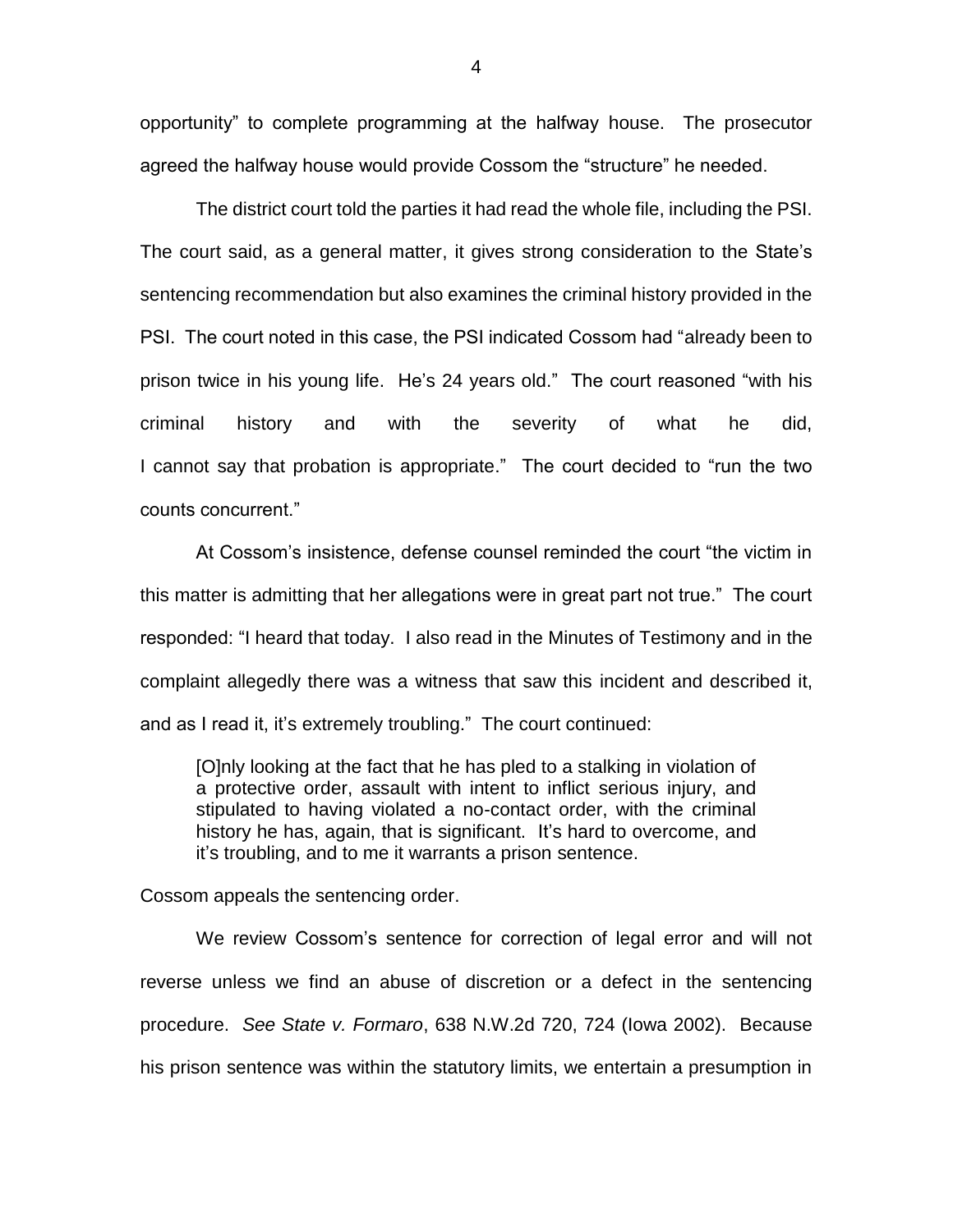opportunity" to complete programming at the halfway house. The prosecutor agreed the halfway house would provide Cossom the "structure" he needed.

The district court told the parties it had read the whole file, including the PSI. The court said, as a general matter, it gives strong consideration to the State's sentencing recommendation but also examines the criminal history provided in the PSI. The court noted in this case, the PSI indicated Cossom had "already been to prison twice in his young life. He's 24 years old." The court reasoned "with his criminal history and with the severity of what he did, I cannot say that probation is appropriate." The court decided to "run the two counts concurrent."

At Cossom's insistence, defense counsel reminded the court "the victim in this matter is admitting that her allegations were in great part not true." The court responded: "I heard that today. I also read in the Minutes of Testimony and in the complaint allegedly there was a witness that saw this incident and described it, and as I read it, it's extremely troubling." The court continued:

[O]nly looking at the fact that he has pled to a stalking in violation of a protective order, assault with intent to inflict serious injury, and stipulated to having violated a no-contact order, with the criminal history he has, again, that is significant. It's hard to overcome, and it's troubling, and to me it warrants a prison sentence.

Cossom appeals the sentencing order.

We review Cossom's sentence for correction of legal error and will not reverse unless we find an abuse of discretion or a defect in the sentencing procedure. *See State v. Formaro*, 638 N.W.2d 720, 724 (Iowa 2002). Because his prison sentence was within the statutory limits, we entertain a presumption in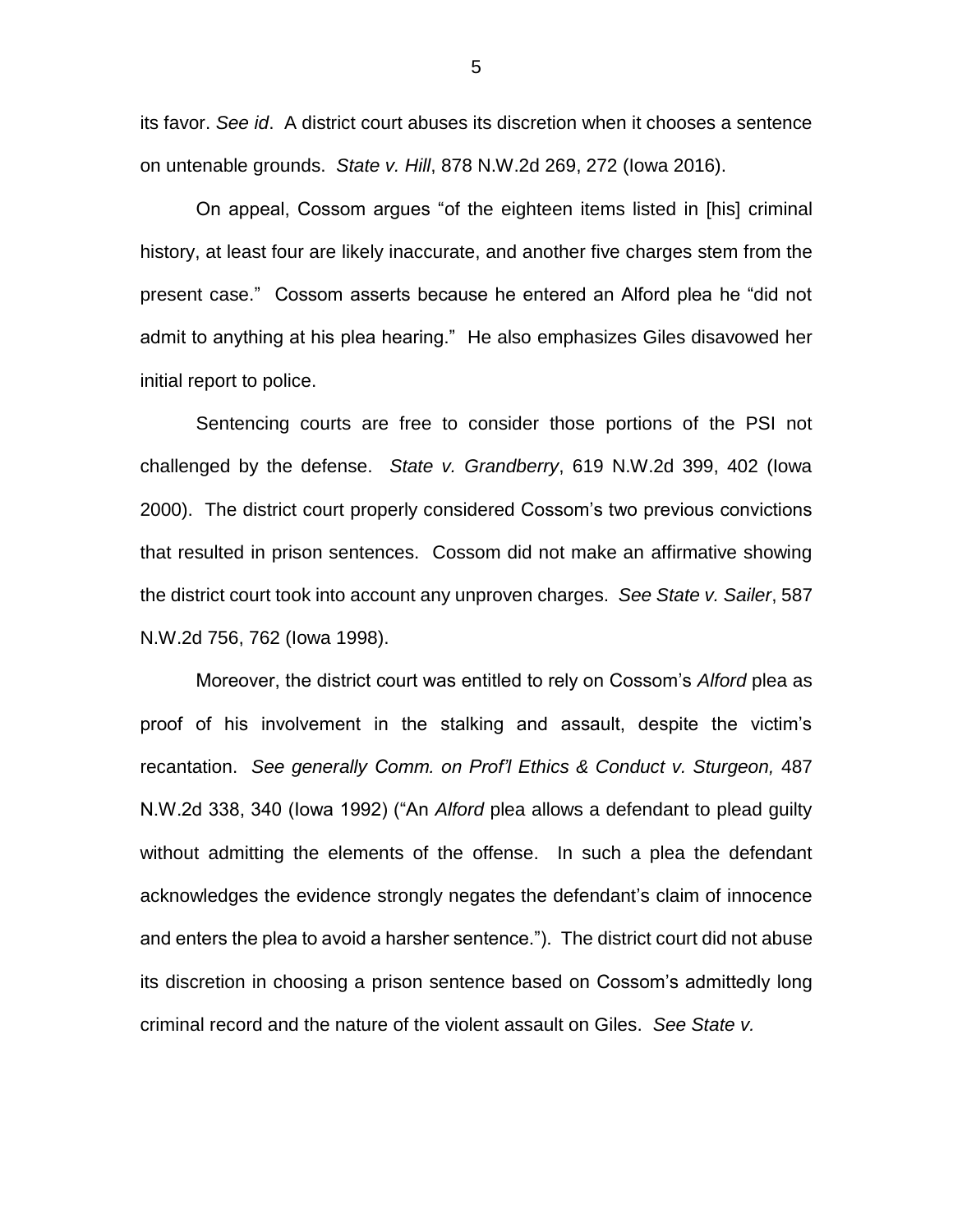its favor. *See id*. A district court abuses its discretion when it chooses a sentence on untenable grounds. *State v. Hill*, 878 N.W.2d 269, 272 (Iowa 2016).

On appeal, Cossom argues "of the eighteen items listed in [his] criminal history, at least four are likely inaccurate, and another five charges stem from the present case." Cossom asserts because he entered an Alford plea he "did not admit to anything at his plea hearing." He also emphasizes Giles disavowed her initial report to police.

Sentencing courts are free to consider those portions of the PSI not challenged by the defense. *State v. Grandberry*, 619 N.W.2d 399, 402 (Iowa 2000). The district court properly considered Cossom's two previous convictions that resulted in prison sentences. Cossom did not make an affirmative showing the district court took into account any unproven charges. *See State v. Sailer*, 587 N.W.2d 756, 762 (Iowa 1998).

Moreover, the district court was entitled to rely on Cossom's *Alford* plea as proof of his involvement in the stalking and assault, despite the victim's recantation. *See generally Comm. on Prof'l Ethics & Conduct v. Sturgeon,* 487 N.W.2d 338, 340 (Iowa 1992) ("An *Alford* plea allows a defendant to plead guilty without admitting the elements of the offense. In such a plea the defendant acknowledges the evidence strongly negates the defendant's claim of innocence and enters the plea to avoid a harsher sentence."). The district court did not abuse its discretion in choosing a prison sentence based on Cossom's admittedly long criminal record and the nature of the violent assault on Giles. *See State v.*